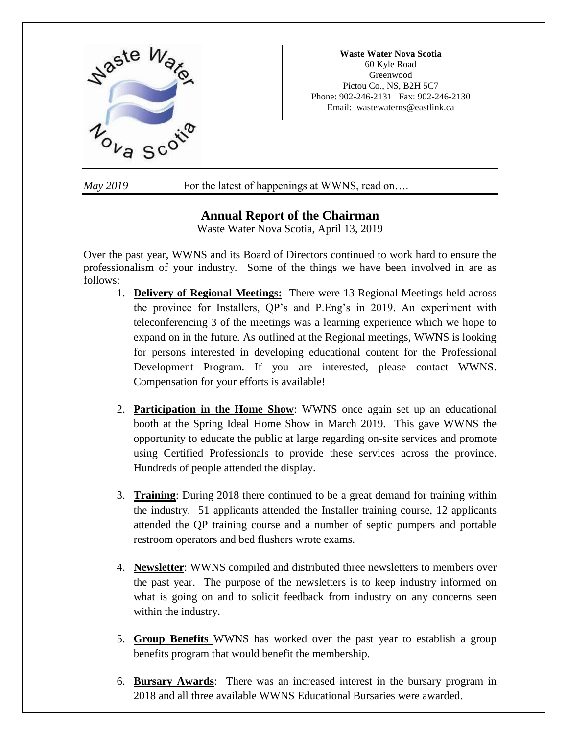

*May* 2019 **For the latest of happenings at WWNS**, read on...

# **Annual Report of the Chairman**

Waste Water Nova Scotia, April 13, 2019

Over the past year, WWNS and its Board of Directors continued to work hard to ensure the professionalism of your industry. Some of the things we have been involved in are as follows:

- 1. **Delivery of Regional Meetings:** There were 13 Regional Meetings held across the province for Installers, QP's and P.Eng's in 2019. An experiment with teleconferencing 3 of the meetings was a learning experience which we hope to expand on in the future. As outlined at the Regional meetings, WWNS is looking for persons interested in developing educational content for the Professional Development Program. If you are interested, please contact WWNS. Compensation for your efforts is available!
- 2. **Participation in the Home Show**: WWNS once again set up an educational booth at the Spring Ideal Home Show in March 2019. This gave WWNS the opportunity to educate the public at large regarding on-site services and promote using Certified Professionals to provide these services across the province. Hundreds of people attended the display.
- 3. **Training**: During 2018 there continued to be a great demand for training within the industry. 51 applicants attended the Installer training course, 12 applicants attended the QP training course and a number of septic pumpers and portable restroom operators and bed flushers wrote exams.
- 4. **Newsletter**: WWNS compiled and distributed three newsletters to members over the past year. The purpose of the newsletters is to keep industry informed on what is going on and to solicit feedback from industry on any concerns seen within the industry.
- 5. **Group Benefits** WWNS has worked over the past year to establish a group benefits program that would benefit the membership.
- 6. **Bursary Awards**: There was an increased interest in the bursary program in 2018 and all three available WWNS Educational Bursaries were awarded.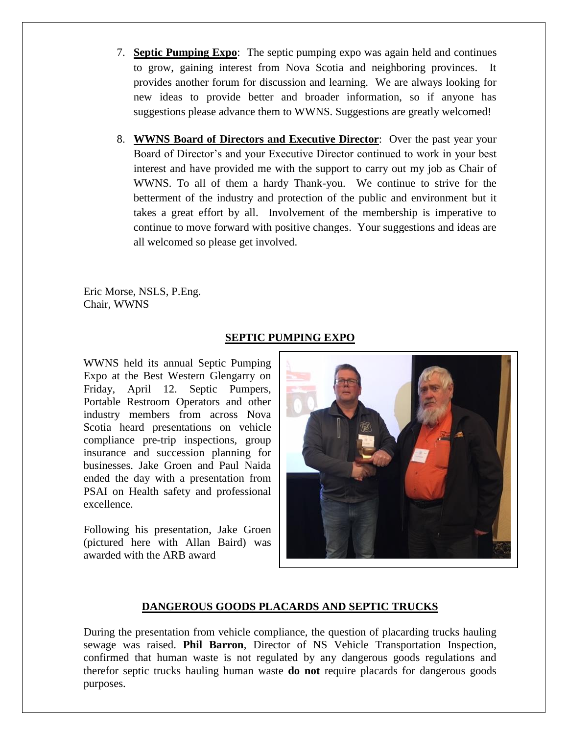- 7. **Septic Pumping Expo**: The septic pumping expo was again held and continues to grow, gaining interest from Nova Scotia and neighboring provinces. It provides another forum for discussion and learning. We are always looking for new ideas to provide better and broader information, so if anyone has suggestions please advance them to WWNS. Suggestions are greatly welcomed!
- 8. **WWNS Board of Directors and Executive Director**: Over the past year your Board of Director's and your Executive Director continued to work in your best interest and have provided me with the support to carry out my job as Chair of WWNS. To all of them a hardy Thank-you. We continue to strive for the betterment of the industry and protection of the public and environment but it takes a great effort by all. Involvement of the membership is imperative to continue to move forward with positive changes. Your suggestions and ideas are all welcomed so please get involved.

Eric Morse, NSLS, P.Eng. Chair, WWNS

## **SEPTIC PUMPING EXPO**

WWNS held its annual Septic Pumping Expo at the Best Western Glengarry on Friday, April 12. Septic Pumpers, Portable Restroom Operators and other industry members from across Nova Scotia heard presentations on vehicle compliance pre-trip inspections, group insurance and succession planning for businesses. Jake Groen and Paul Naida ended the day with a presentation from PSAI on Health safety and professional excellence.

Following his presentation, Jake Groen (pictured here with Allan Baird) was awarded with the ARB award



## **DANGEROUS GOODS PLACARDS AND SEPTIC TRUCKS**

During the presentation from vehicle compliance, the question of placarding trucks hauling sewage was raised. **Phil Barron**, Director of NS Vehicle Transportation Inspection, confirmed that human waste is not regulated by any dangerous goods regulations and therefor septic trucks hauling human waste **do not** require placards for dangerous goods purposes.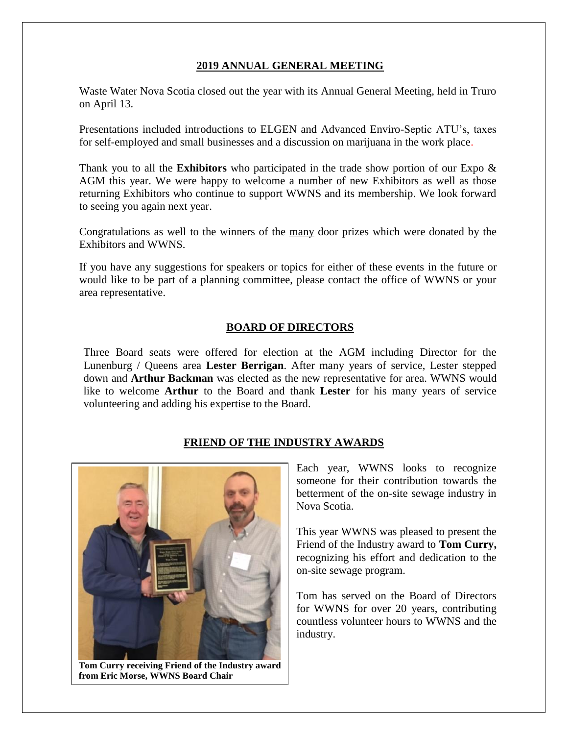### **2019 ANNUAL GENERAL MEETING**

Waste Water Nova Scotia closed out the year with its Annual General Meeting, held in Truro on April 13.

Presentations included introductions to ELGEN and Advanced Enviro-Septic ATU's, taxes for self-employed and small businesses and a discussion on marijuana in the work place.

Thank you to all the **Exhibitors** who participated in the trade show portion of our Expo & AGM this year. We were happy to welcome a number of new Exhibitors as well as those returning Exhibitors who continue to support WWNS and its membership. We look forward to seeing you again next year.

Congratulations as well to the winners of the many door prizes which were donated by the Exhibitors and WWNS.

If you have any suggestions for speakers or topics for either of these events in the future or would like to be part of a planning committee, please contact the office of WWNS or your area representative.

## **BOARD OF DIRECTORS**

Three Board seats were offered for election at the AGM including Director for the Lunenburg / Queens area **Lester Berrigan**. After many years of service, Lester stepped down and **Arthur Backman** was elected as the new representative for area. WWNS would like to welcome **Arthur** to the Board and thank **Lester** for his many years of service volunteering and adding his expertise to the Board.

## **FRIEND OF THE INDUSTRY AWARDS**



**Tom Curry receiving Friend of the Industry award from Eric Morse, WWNS Board Chair**

Each year, WWNS looks to recognize someone for their contribution towards the betterment of the on-site sewage industry in Nova Scotia.

This year WWNS was pleased to present the Friend of the Industry award to **Tom Curry,** recognizing his effort and dedication to the on-site sewage program.

Tom has served on the Board of Directors for WWNS for over 20 years, contributing countless volunteer hours to WWNS and the industry.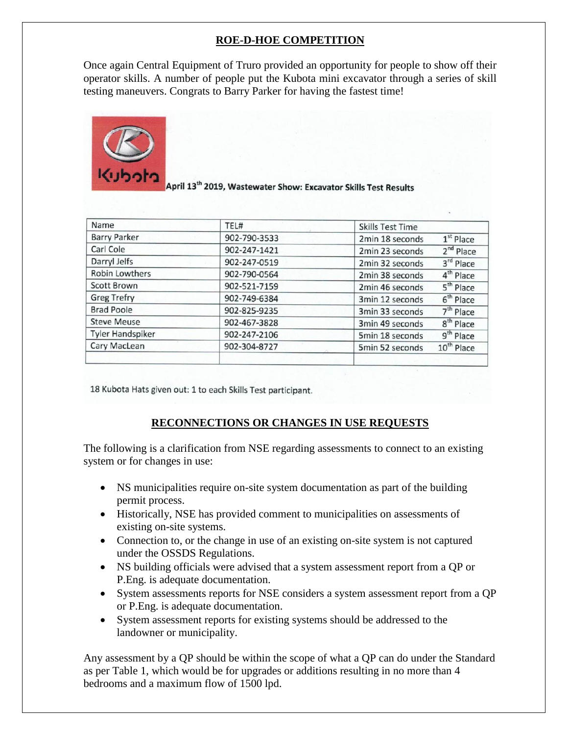## **ROE-D-HOE COMPETITION**

Once again Central Equipment of Truro provided an opportunity for people to show off their operator skills. A number of people put the Kubota mini excavator through a series of skill testing maneuvers. Congrats to Barry Parker for having the fastest time!



April 13<sup>th</sup> 2019, Wastewater Show: Excavator Skills Test Results

| Name                    | TEL#         | <b>Skills Test Time</b> |                        |
|-------------------------|--------------|-------------------------|------------------------|
| <b>Barry Parker</b>     | 902-790-3533 | 2min 18 seconds         | $1st$ Place            |
| Carl Cole               | 902-247-1421 | 2min 23 seconds         | 2 <sup>nd</sup> Place  |
| Darryl Jelfs            | 902-247-0519 | 2min 32 seconds         | 3rd Place              |
| <b>Robin Lowthers</b>   | 902-790-0564 | 2min 38 seconds         | 4 <sup>th</sup> Place  |
| <b>Scott Brown</b>      | 902-521-7159 | 2min 46 seconds         | 5 <sup>th</sup> Place  |
| <b>Greg Trefry</b>      | 902-749-6384 | 3min 12 seconds         | $6th$ Place            |
| <b>Brad Poole</b>       | 902-825-9235 | 3min 33 seconds         | $7th$ Place            |
| <b>Steve Meuse</b>      | 902-467-3828 | 3min 49 seconds         | 8 <sup>th</sup> Place  |
| <b>Tyler Handspiker</b> | 902-247-2106 | 5min 18 seconds         | 9 <sup>th</sup> Place  |
| Cary MacLean            | 902-304-8727 | 5min 52 seconds         | 10 <sup>th</sup> Place |
|                         |              |                         |                        |

18 Kubota Hats given out: 1 to each Skills Test participant.

## **RECONNECTIONS OR CHANGES IN USE REQUESTS**

The following is a clarification from NSE regarding assessments to connect to an existing system or for changes in use:

- NS municipalities require on-site system documentation as part of the building permit process.
- Historically, NSE has provided comment to municipalities on assessments of existing on-site systems.
- Connection to, or the change in use of an existing on-site system is not captured under the OSSDS Regulations.
- NS building officials were advised that a system assessment report from a QP or P.Eng. is adequate documentation.
- System assessments reports for NSE considers a system assessment report from a QP or P.Eng. is adequate documentation.
- System assessment reports for existing systems should be addressed to the landowner or municipality.

Any assessment by a QP should be within the scope of what a QP can do under the Standard as per Table 1, which would be for upgrades or additions resulting in no more than 4 bedrooms and a maximum flow of 1500 lpd.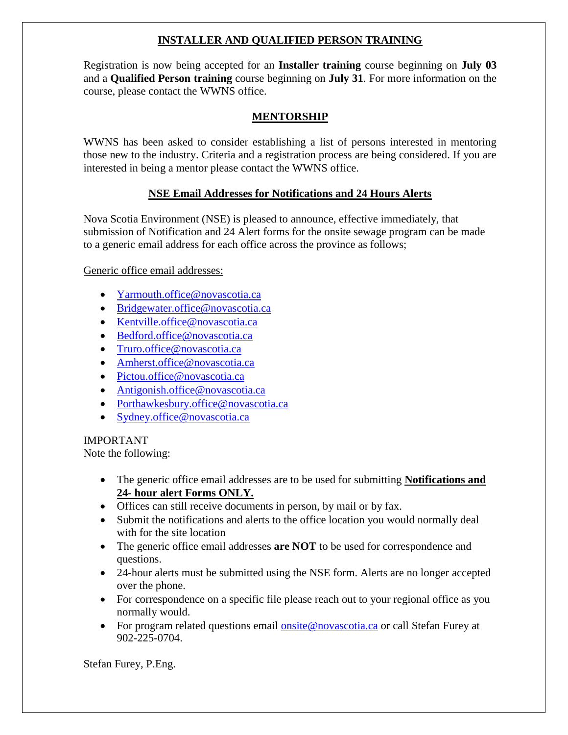## **INSTALLER AND QUALIFIED PERSON TRAINING**

Registration is now being accepted for an **Installer training** course beginning on **July 03** and a **Qualified Person training** course beginning on **July 31**. For more information on the course, please contact the WWNS office.

## **MENTORSHIP**

WWNS has been asked to consider establishing a list of persons interested in mentoring those new to the industry. Criteria and a registration process are being considered. If you are interested in being a mentor please contact the WWNS office.

## **NSE Email Addresses for Notifications and 24 Hours Alerts**

Nova Scotia Environment (NSE) is pleased to announce, effective immediately, that submission of Notification and 24 Alert forms for the onsite sewage program can be made to a generic email address for each office across the province as follows;

Generic office email addresses:

- [Yarmouth.office@novascotia.ca](mailto:Yarmouth.office@novascotia.ca)
- [Bridgewater.office@novascotia.ca](mailto:Bridgewater.office@novascotia.ca)
- [Kentville.office@novascotia.ca](mailto:Kentville.office@novascotia.ca)
- [Bedford.office@novascotia.ca](mailto:Bedford.office@novascotia.ca)
- [Truro.office@novascotia.ca](mailto:Truro.office@novascotia.ca)
- [Amherst.office@novascotia.ca](mailto:Amherst.office@novascotia.ca)
- [Pictou.office@novascotia.ca](mailto:Pictou.office@novascotia.ca)
- [Antigonish.office@novascotia.ca](mailto:Antigonish.office@novascotia.ca)
- [Porthawkesbury.office@novascotia.ca](mailto:Porthawkesbury.office@novascotia.ca)
- [Sydney.office@novascotia.ca](mailto:Sydney.office@novascotia.ca)

IMPORTANT

Note the following:

- The generic office email addresses are to be used for submitting **Notifications and 24- hour alert Forms ONLY.**
- Offices can still receive documents in person, by mail or by fax.
- Submit the notifications and alerts to the office location you would normally deal with for the site location
- The generic office email addresses **are NOT** to be used for correspondence and questions.
- 24-hour alerts must be submitted using the NSE form. Alerts are no longer accepted over the phone.
- For correspondence on a specific file please reach out to your regional office as you normally would.
- For program related questions email [onsite@novascotia.ca](mailto:onsite@novascotia.ca) or call Stefan Furey at 902-225-0704.

Stefan Furey, P.Eng.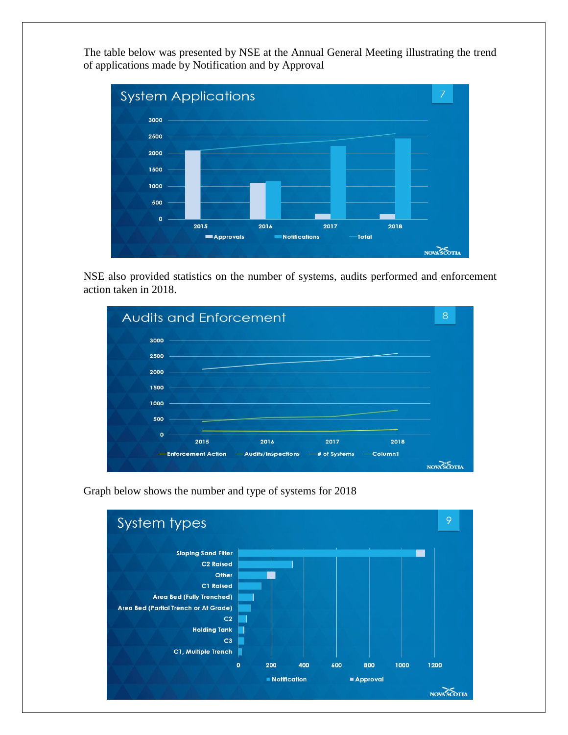The table below was presented by NSE at the Annual General Meeting illustrating the trend of applications made by Notification and by Approval



NSE also provided statistics on the number of systems, audits performed and enforcement action taken in 2018.





Graph below shows the number and type of systems for 2018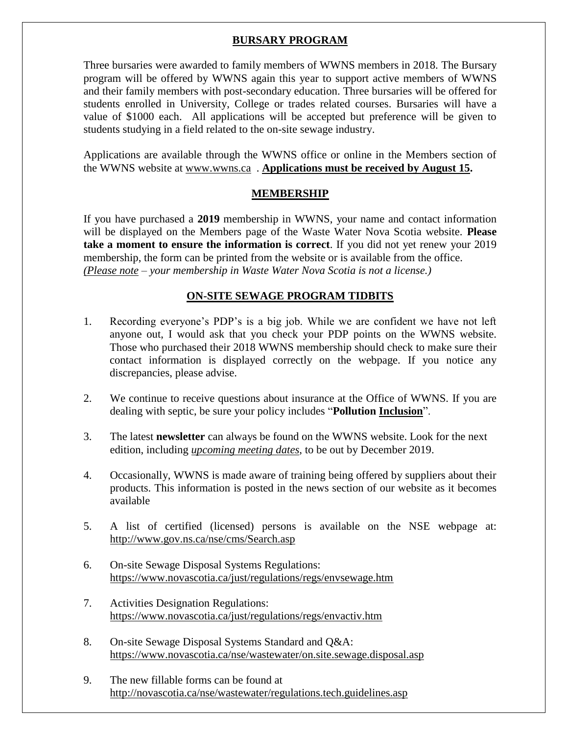## **BURSARY PROGRAM**

Three bursaries were awarded to family members of WWNS members in 2018. The Bursary program will be offered by WWNS again this year to support active members of WWNS and their family members with post-secondary education. Three bursaries will be offered for students enrolled in University, College or trades related courses. Bursaries will have a value of \$1000 each. All applications will be accepted but preference will be given to students studying in a field related to the on-site sewage industry.

Applications are available through the WWNS office or online in the Members section of the WWNS website at [www.wwns.ca](http://www.wwns.ca/) . **Applications must be received by August 15.**

### **MEMBERSHIP**

If you have purchased a **2019** membership in WWNS, your name and contact information will be displayed on the Members page of the Waste Water Nova Scotia website. **Please take a moment to ensure the information is correct**. If you did not yet renew your 2019 membership, the form can be printed from the website or is available from the office. *(Please note – your membership in Waste Water Nova Scotia is not a license.)*

### **ON-SITE SEWAGE PROGRAM TIDBITS**

- 1. Recording everyone's PDP's is a big job. While we are confident we have not left anyone out, I would ask that you check your PDP points on the WWNS website. Those who purchased their 2018 WWNS membership should check to make sure their contact information is displayed correctly on the webpage. If you notice any discrepancies, please advise.
- 2. We continue to receive questions about insurance at the Office of WWNS. If you are dealing with septic, be sure your policy includes "**Pollution Inclusion**".
- 3. The latest **newsletter** can always be found on the WWNS website. Look for the next edition, including *upcoming meeting dates*, to be out by December 2019.
- 4. Occasionally, WWNS is made aware of training being offered by suppliers about their products. This information is posted in the news section of our website as it becomes available
- 5. A list of certified (licensed) persons is available on the NSE webpage at: <http://www.gov.ns.ca/nse/cms/Search.asp>
- 6. On-site Sewage Disposal Systems Regulations: <https://www.novascotia.ca/just/regulations/regs/envsewage.htm>
- 7. Activities Designation Regulations: <https://www.novascotia.ca/just/regulations/regs/envactiv.htm>
- 8. On-site Sewage Disposal Systems Standard and Q&A: <https://www.novascotia.ca/nse/wastewater/on.site.sewage.disposal.asp>
- 9. The new fillable forms can be found at <http://novascotia.ca/nse/wastewater/regulations.tech.guidelines.asp>